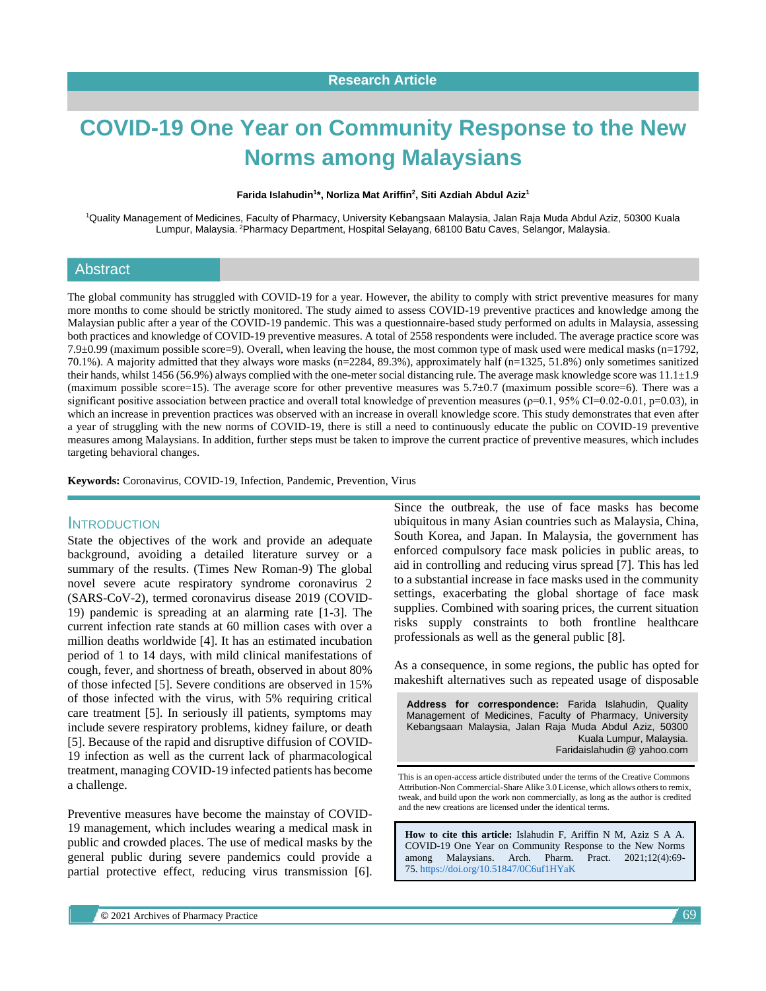# **COVID-19 One Year on Community Response to the New Norms among Malaysians**

#### **Farida Islahudin<sup>1</sup> \*, Norliza Mat Ariffin<sup>2</sup> , Siti Azdiah Abdul Aziz<sup>1</sup>**

<sup>1</sup>Quality Management of Medicines, Faculty of Pharmacy, University Kebangsaan Malaysia, Jalan Raja Muda Abdul Aziz, 50300 Kuala Lumpur, Malaysia. <sup>2</sup>Pharmacy Department, Hospital Selayang, 68100 Batu Caves, Selangor, Malaysia.

#### Abstract

The global community has struggled with COVID-19 for a year. However, the ability to comply with strict preventive measures for many more months to come should be strictly monitored. The study aimed to assess COVID-19 preventive practices and knowledge among the Malaysian public after a year of the COVID-19 pandemic. This was a questionnaire-based study performed on adults in Malaysia, assessing both practices and knowledge of COVID-19 preventive measures. A total of 2558 respondents were included. The average practice score was 7.9 $\pm$ 0.99 (maximum possible score=9). Overall, when leaving the house, the most common type of mask used were medical masks (n=1792, 70.1%). A majority admitted that they always wore masks (n=2284, 89.3%), approximately half (n=1325, 51.8%) only sometimes sanitized their hands, whilst 1456 (56.9%) always complied with the one-meter social distancing rule. The average mask knowledge score was  $11.1 \pm 1.9$ (maximum possible score=15). The average score for other preventive measures was 5.7±0.7 (maximum possible score=6). There was a significant positive association between practice and overall total knowledge of prevention measures ( $p=0.1$ , 95% CI=0.02-0.01, p=0.03), in which an increase in prevention practices was observed with an increase in overall knowledge score. This study demonstrates that even after a year of struggling with the new norms of COVID-19, there is still a need to continuously educate the public on COVID-19 preventive measures among Malaysians. In addition, further steps must be taken to improve the current practice of preventive measures, which includes targeting behavioral changes.

**Keywords:** Coronavirus, COVID-19, Infection, Pandemic, Prevention, Virus

#### **INTRODUCTION**

State the objectives of the work and provide an adequate background, avoiding a detailed literature survey or a summary of the results. (Times New Roman-9) The global novel severe acute respiratory syndrome coronavirus 2 (SARS-CoV-2), termed coronavirus disease 2019 (COVID-19) pandemic is spreading at an alarming rate [1-3]. The current infection rate stands at 60 million cases with over a million deaths worldwide [4]. It has an estimated incubation period of 1 to 14 days, with mild clinical manifestations of cough, fever, and shortness of breath, observed in about 80% of those infected [5]. Severe conditions are observed in 15% of those infected with the virus, with 5% requiring critical care treatment [5]. In seriously ill patients, symptoms may include severe respiratory problems, kidney failure, or death [5]. Because of the rapid and disruptive diffusion of COVID-19 infection as well as the current lack of pharmacological treatment, managing COVID-19 infected patients has become a challenge.

Preventive measures have become the mainstay of COVID-19 management, which includes wearing a medical mask in public and crowded places. The use of medical masks by the general public during severe pandemics could provide a partial protective effect, reducing virus transmission [6]. Since the outbreak, the use of face masks has become ubiquitous in many Asian countries such as Malaysia, China, South Korea, and Japan. In Malaysia, the government has enforced compulsory face mask policies in public areas, to aid in controlling and reducing virus spread [7]. This has led to a substantial increase in face masks used in the community settings, exacerbating the global shortage of face mask supplies. Combined with soaring prices, the current situation risks supply constraints to both frontline healthcare professionals as well as the general public [8].

As a consequence, in some regions, the public has opted for makeshift alternatives such as repeated usage of disposable

**Address for correspondence:** Farida Islahudin, Quality Management of Medicines, Faculty of Pharmacy, University Kebangsaan Malaysia, Jalan Raja Muda Abdul Aziz, 50300 Kuala Lumpur, Malaysia. Faridaislahudin @ yahoo.com

This is an open-access article distributed under the terms of the Creative Commons Attribution-Non Commercial-Share Alike 3.0 License, which allows others to remix, tweak, and build upon the work non commercially, as long as the author is credited and the new creations are licensed under the identical terms.

**How to cite this article:** Islahudin F, Ariffin N M, Aziz S A A. COVID-19 One Year on Community Response to the New Norms among Malaysians. Arch. Pharm. Pract. 2021;12(4):69- 75. <https://doi.org/10.51847/0C6uf1HYaK>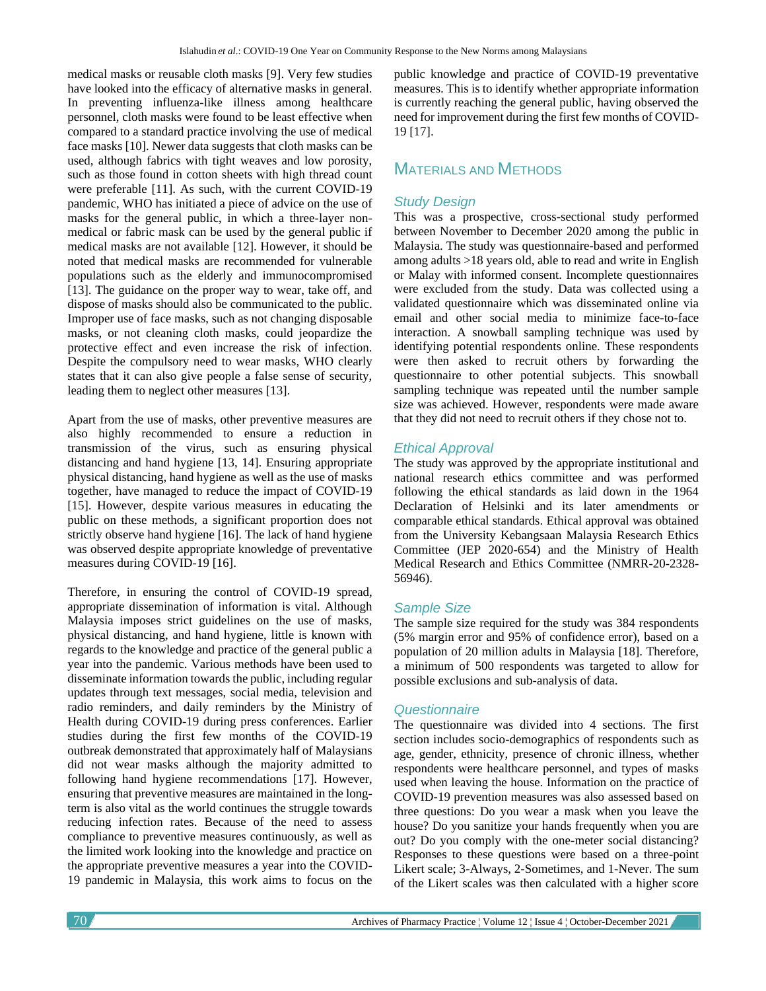medical masks or reusable cloth masks [9]. Very few studies have looked into the efficacy of alternative masks in general. In preventing influenza-like illness among healthcare personnel, cloth masks were found to be least effective when compared to a standard practice involving the use of medical face masks [10]. Newer data suggests that cloth masks can be used, although fabrics with tight weaves and low porosity, such as those found in cotton sheets with high thread count were preferable [11]. As such, with the current COVID-19 pandemic, WHO has initiated a piece of advice on the use of masks for the general public, in which a three-layer nonmedical or fabric mask can be used by the general public if medical masks are not available [12]. However, it should be noted that medical masks are recommended for vulnerable populations such as the elderly and immunocompromised [13]. The guidance on the proper way to wear, take off, and dispose of masks should also be communicated to the public. Improper use of face masks, such as not changing disposable masks, or not cleaning cloth masks, could jeopardize the protective effect and even increase the risk of infection. Despite the compulsory need to wear masks, WHO clearly states that it can also give people a false sense of security, leading them to neglect other measures [13].

Apart from the use of masks, other preventive measures are also highly recommended to ensure a reduction in transmission of the virus, such as ensuring physical distancing and hand hygiene [13, 14]. Ensuring appropriate physical distancing, hand hygiene as well as the use of masks together, have managed to reduce the impact of COVID-19 [15]. However, despite various measures in educating the public on these methods, a significant proportion does not strictly observe hand hygiene [16]. The lack of hand hygiene was observed despite appropriate knowledge of preventative measures during COVID-19 [16].

Therefore, in ensuring the control of COVID-19 spread, appropriate dissemination of information is vital. Although Malaysia imposes strict guidelines on the use of masks, physical distancing, and hand hygiene, little is known with regards to the knowledge and practice of the general public a year into the pandemic. Various methods have been used to disseminate information towards the public, including regular updates through text messages, social media, television and radio reminders, and daily reminders by the Ministry of Health during COVID-19 during press conferences. Earlier studies during the first few months of the COVID-19 outbreak demonstrated that approximately half of Malaysians did not wear masks although the majority admitted to following hand hygiene recommendations [17]. However, ensuring that preventive measures are maintained in the longterm is also vital as the world continues the struggle towards reducing infection rates. Because of the need to assess compliance to preventive measures continuously, as well as the limited work looking into the knowledge and practice on the appropriate preventive measures a year into the COVID-19 pandemic in Malaysia, this work aims to focus on the

public knowledge and practice of COVID-19 preventative measures. This is to identify whether appropriate information is currently reaching the general public, having observed the need for improvement during the first few months of COVID-19 [17].

## MATERIALS AND METHODS

## *Study Design*

This was a prospective, cross-sectional study performed between November to December 2020 among the public in Malaysia. The study was questionnaire-based and performed among adults >18 years old, able to read and write in English or Malay with informed consent. Incomplete questionnaires were excluded from the study. Data was collected using a validated questionnaire which was disseminated online via email and other social media to minimize face-to-face interaction. A snowball sampling technique was used by identifying potential respondents online. These respondents were then asked to recruit others by forwarding the questionnaire to other potential subjects. This snowball sampling technique was repeated until the number sample size was achieved. However, respondents were made aware that they did not need to recruit others if they chose not to.

## *Ethical Approval*

The study was approved by the appropriate institutional and national research ethics committee and was performed following the ethical standards as laid down in the 1964 Declaration of Helsinki and its later amendments or comparable ethical standards. Ethical approval was obtained from the University Kebangsaan Malaysia Research Ethics Committee (JEP 2020-654) and the Ministry of Health Medical Research and Ethics Committee (NMRR-20-2328- 56946).

## *Sample Size*

The sample size required for the study was 384 respondents (5% margin error and 95% of confidence error), based on a population of 20 million adults in Malaysia [18]. Therefore, a minimum of 500 respondents was targeted to allow for possible exclusions and sub-analysis of data.

## *Questionnaire*

The questionnaire was divided into 4 sections. The first section includes socio-demographics of respondents such as age, gender, ethnicity, presence of chronic illness, whether respondents were healthcare personnel, and types of masks used when leaving the house. Information on the practice of COVID-19 prevention measures was also assessed based on three questions: Do you wear a mask when you leave the house? Do you sanitize your hands frequently when you are out? Do you comply with the one-meter social distancing? Responses to these questions were based on a three-point Likert scale; 3-Always, 2-Sometimes, and 1-Never. The sum of the Likert scales was then calculated with a higher score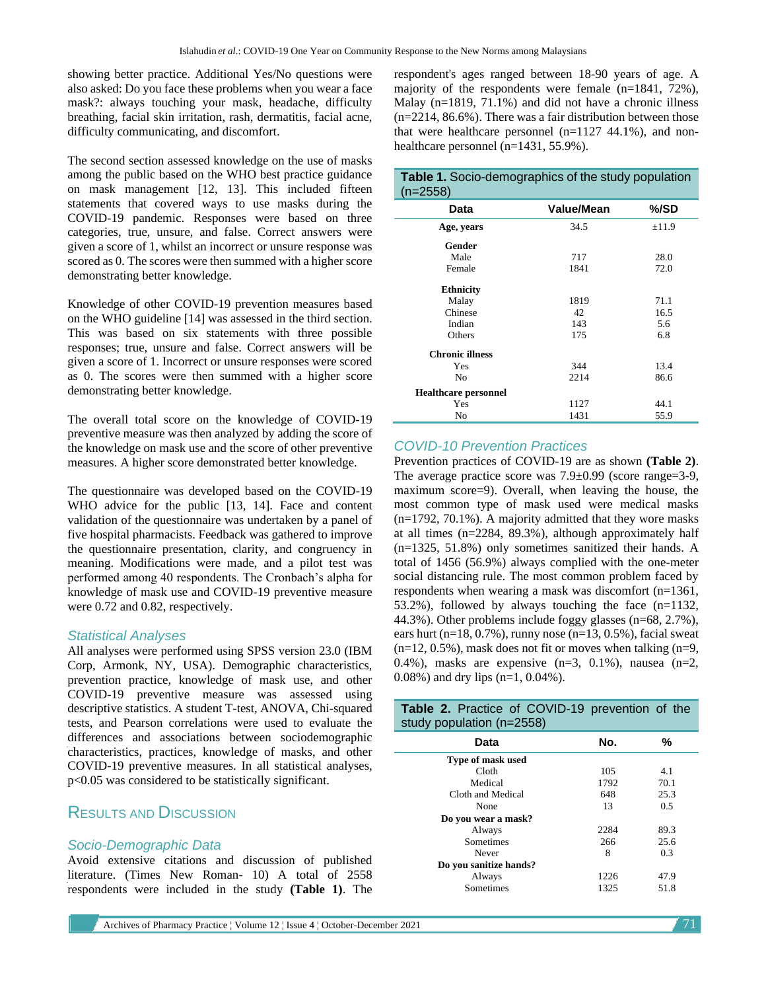showing better practice. Additional Yes/No questions were also asked: Do you face these problems when you wear a face mask?: always touching your mask, headache, difficulty breathing, facial skin irritation, rash, dermatitis, facial acne, difficulty communicating, and discomfort.

The second section assessed knowledge on the use of masks among the public based on the WHO best practice guidance on mask management [12, 13]. This included fifteen statements that covered ways to use masks during the COVID-19 pandemic. Responses were based on three categories, true, unsure, and false. Correct answers were given a score of 1, whilst an incorrect or unsure response was scored as 0. The scores were then summed with a higher score demonstrating better knowledge.

Knowledge of other COVID-19 prevention measures based on the WHO guideline [14] was assessed in the third section. This was based on six statements with three possible responses; true, unsure and false. Correct answers will be given a score of 1. Incorrect or unsure responses were scored as 0. The scores were then summed with a higher score demonstrating better knowledge.

The overall total score on the knowledge of COVID-19 preventive measure was then analyzed by adding the score of the knowledge on mask use and the score of other preventive measures. A higher score demonstrated better knowledge.

The questionnaire was developed based on the COVID-19 WHO advice for the public [13, 14]. Face and content validation of the questionnaire was undertaken by a panel of five hospital pharmacists. Feedback was gathered to improve the questionnaire presentation, clarity, and congruency in meaning. Modifications were made, and a pilot test was performed among 40 respondents. The Cronbach's alpha for knowledge of mask use and COVID-19 preventive measure were 0.72 and 0.82, respectively.

#### *Statistical Analyses*

All analyses were performed using SPSS version 23.0 (IBM Corp, Armonk, NY, USA). Demographic characteristics, prevention practice, knowledge of mask use, and other COVID-19 preventive measure was assessed using descriptive statistics. A student T-test, ANOVA, Chi-squared tests, and Pearson correlations were used to evaluate the differences and associations between sociodemographic characteristics, practices, knowledge of masks, and other COVID-19 preventive measures. In all statistical analyses, p<0.05 was considered to be statistically significant.

## RESULTS AND DISCUSSION

## *Socio-Demographic Data*

Avoid extensive citations and discussion of published literature. (Times New Roman- 10) A total of 2558 respondents were included in the study **(Table 1)**. The respondent's ages ranged between 18-90 years of age. A majority of the respondents were female (n=1841, 72%), Malay (n=1819, 71.1%) and did not have a chronic illness (n=2214, 86.6%). There was a fair distribution between those that were healthcare personnel  $(n=1127 44.1\%)$ , and nonhealthcare personnel (n=1431, 55.9%).

| Table 1. Socio-demographics of the study population<br>$(n=2558)$ |            |            |  |
|-------------------------------------------------------------------|------------|------------|--|
| Data                                                              | Value/Mean | %/SD       |  |
| Age, years                                                        | 34.5       | $\pm$ 11.9 |  |
| Gender                                                            |            |            |  |
| Male                                                              | 717        | 28.0       |  |
| Female                                                            | 1841       | 72.0       |  |
| <b>Ethnicity</b>                                                  |            |            |  |
| Malay                                                             | 1819       | 71.1       |  |
| Chinese                                                           | 42         | 16.5       |  |
| Indian                                                            | 143        | 5.6        |  |
| Others                                                            | 175        | 6.8        |  |
| <b>Chronic illness</b>                                            |            |            |  |
| Yes                                                               | 344        | 13.4       |  |
| N <sub>0</sub>                                                    | 2214       | 86.6       |  |
| <b>Healthcare personnel</b>                                       |            |            |  |
| Yes                                                               | 1127       | 44.1       |  |
| N <sub>0</sub>                                                    | 1431       | 55.9       |  |

## *COVID-10 Prevention Practices*

Prevention practices of COVID-19 are as shown **(Table 2)**. The average practice score was 7.9±0.99 (score range=3-9, maximum score=9). Overall, when leaving the house, the most common type of mask used were medical masks  $(n=1792, 70.1\%)$ . A majority admitted that they wore masks at all times (n=2284, 89.3%), although approximately half (n=1325, 51.8%) only sometimes sanitized their hands. A total of 1456 (56.9%) always complied with the one-meter social distancing rule. The most common problem faced by respondents when wearing a mask was discomfort (n=1361, 53.2%), followed by always touching the face (n=1132, 44.3%). Other problems include foggy glasses (n=68, 2.7%), ears hurt (n=18, 0.7%), runny nose (n=13, 0.5%), facial sweat  $(n=12, 0.5\%)$ , mask does not fit or moves when talking  $(n=9, 1)$ 0.4%), masks are expensive  $(n=3, 0.1\%)$ , nausea  $(n=2, 0.1\%)$ 0.08%) and dry lips (n=1, 0.04%).

| Table 2. Practice of COVID-19 prevention of the<br>study population (n=2558) |      |      |
|------------------------------------------------------------------------------|------|------|
| Data                                                                         | No.  | ℅    |
| Type of mask used                                                            |      |      |
| Cloth                                                                        | 105  | 4.1  |
| Medical                                                                      | 1792 | 70.1 |
| Cloth and Medical                                                            | 648  | 25.3 |
| None                                                                         | 13   | 0.5  |
| Do you wear a mask?                                                          |      |      |
| Always                                                                       | 2284 | 89.3 |
| Sometimes                                                                    | 266  | 25.6 |
| Never                                                                        | 8    | 0.3  |
| Do you sanitize hands?                                                       |      |      |
| Always                                                                       | 1226 | 47.9 |
| Sometimes                                                                    | 1325 | 51.8 |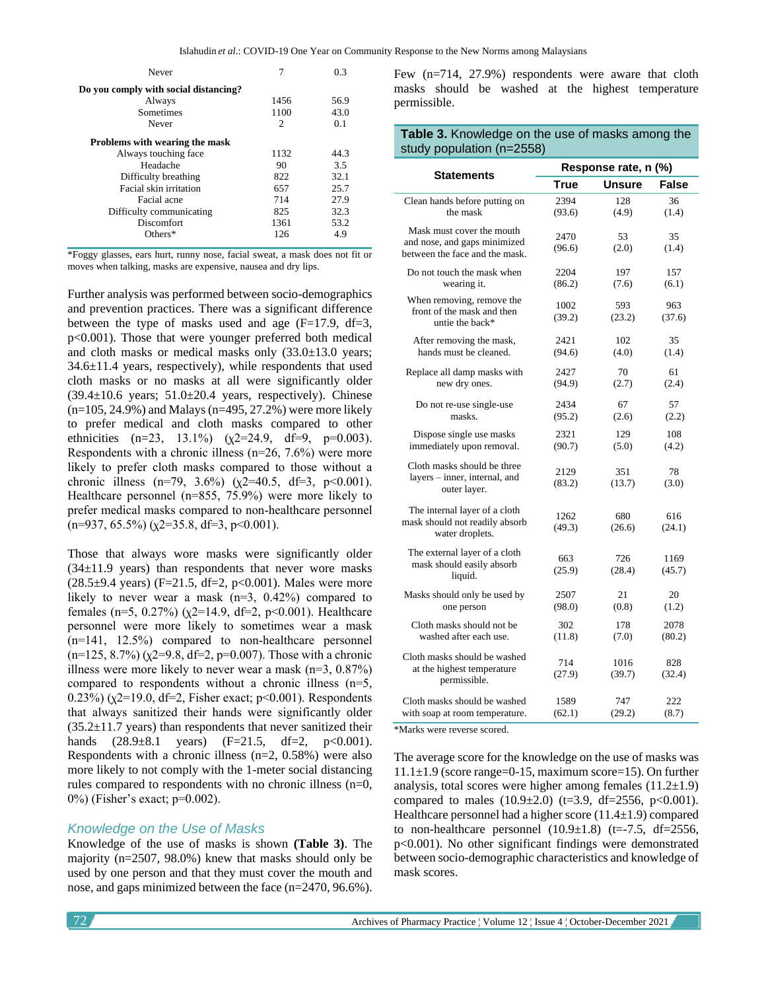| Never                                 |      | 0.3  |
|---------------------------------------|------|------|
| Do you comply with social distancing? |      |      |
| Always                                | 1456 | 56.9 |
| Sometimes                             | 1100 | 43.0 |
| Never                                 | 2    | 0.1  |
| Problems with wearing the mask        |      |      |
| Always touching face                  | 1132 | 44.3 |
| Headache                              | 90   | 3.5  |
| Difficulty breathing                  | 822  | 32.1 |
| <b>Facial skin irritation</b>         | 657  | 25.7 |
| Facial acne                           | 714  | 27.9 |
| Difficulty communicating              | 825  | 32.3 |
| Discomfort                            | 1361 | 53.2 |
| $Others*$                             | 126  | 4.9  |

\*Foggy glasses, ears hurt, runny nose, facial sweat, a mask does not fit or moves when talking, masks are expensive, nausea and dry lips.

Further analysis was performed between socio-demographics and prevention practices. There was a significant difference between the type of masks used and age  $(F=17.9, df=3,$ p<0.001). Those that were younger preferred both medical and cloth masks or medical masks only  $(33.0\pm13.0 \text{ years})$ 34.6±11.4 years, respectively), while respondents that used cloth masks or no masks at all were significantly older  $(39.4\pm10.6 \text{ years}; 51.0\pm20.4 \text{ years}, \text{ respectively}).$  Chinese (n=105, 24.9%) and Malays (n=495, 27.2%) were more likely to prefer medical and cloth masks compared to other ethnicities  $(n=23, 13.1\%)$   $(\chi2=24.9, df=9, p=0.003)$ . Respondents with a chronic illness (n=26, 7.6%) were more likely to prefer cloth masks compared to those without a chronic illness  $(n=79, 3.6\%)$   $(\chi2=40.5, df=3, p<0.001)$ . Healthcare personnel (n=855, 75.9%) were more likely to prefer medical masks compared to non-healthcare personnel  $(n=937, 65.5\%)$  ( $\chi$ 2=35.8, df=3, p<0.001).

Those that always wore masks were significantly older  $(34\pm11.9 \text{ years})$  than respondents that never wore masks  $(28.5\pm9.4 \text{ years})$  (F=21.5, df=2, p<0.001). Males were more likely to never wear a mask  $(n=3, 0.42%)$  compared to females (n=5, 0.27%) ( $\chi$ 2=14.9, df=2, p<0.001). Healthcare personnel were more likely to sometimes wear a mask (n=141, 12.5%) compared to non-healthcare personnel  $(n=125, 8.7%)$  ( $\chi$ 2=9.8, df=2, p=0.007). Those with a chronic illness were more likely to never wear a mask  $(n=3, 0.87\%)$ compared to respondents without a chronic illness (n=5, 0.23%) ( $\chi$ 2=19.0, df=2, Fisher exact;  $p$ <0.001). Respondents that always sanitized their hands were significantly older  $(35.2\pm11.7 \text{ years})$  than respondents that never sanitized their hands  $(28.9 \pm 8.1$  years)  $(F=21.5, df=2, p<0.001)$ . Respondents with a chronic illness (n=2, 0.58%) were also more likely to not comply with the 1-meter social distancing rules compared to respondents with no chronic illness (n=0, 0%) (Fisher's exact; p=0.002).

#### *Knowledge on the Use of Masks*

Knowledge of the use of masks is shown **(Table 3)**. The majority (n=2507, 98.0%) knew that masks should only be used by one person and that they must cover the mouth and nose, and gaps minimized between the face (n=2470, 96.6%).

Few (n=714, 27.9%) respondents were aware that cloth masks should be washed at the highest temperature permissible.

#### **Table 3.** Knowledge on the use of masks among the study population (n=2558)

|                                                                                             | Response rate, n (%) |                |                |  |
|---------------------------------------------------------------------------------------------|----------------------|----------------|----------------|--|
| <b>Statements</b>                                                                           | True                 | Unsure         | False          |  |
| Clean hands before putting on                                                               | 2394                 | 128            | 36             |  |
| the mask                                                                                    | (93.6)               | (4.9)          | (1.4)          |  |
| Mask must cover the mouth<br>and nose, and gaps minimized<br>between the face and the mask. | 2470<br>(96.6)       | 53<br>(2.0)    | 35<br>(1.4)    |  |
| Do not touch the mask when                                                                  | 2204                 | 197            | 157            |  |
| wearing it.                                                                                 | (86.2)               | (7.6)          | (6.1)          |  |
| When removing, remove the<br>front of the mask and then<br>untie the back*                  | 1002<br>(39.2)       | 593<br>(23.2)  | 963<br>(37.6)  |  |
| After removing the mask,                                                                    | 2421                 | 102            | 35             |  |
| hands must be cleaned.                                                                      | (94.6)               | (4.0)          | (1.4)          |  |
| Replace all damp masks with                                                                 | 2427                 | 70             | 61             |  |
| new dry ones.                                                                               | (94.9)               | (2.7)          | (2.4)          |  |
| Do not re-use single-use                                                                    | 2434                 | 67             | 57             |  |
| masks.                                                                                      | (95.2)               | (2.6)          | (2.2)          |  |
| Dispose single use masks                                                                    | 2321                 | 129            | 108            |  |
| immediately upon removal.                                                                   | (90.7)               | (5.0)          | (4.2)          |  |
| Cloth masks should be three<br>layers – inner, internal, and<br>outer layer.                | 2129<br>(83.2)       | 351<br>(13.7)  | 78<br>(3.0)    |  |
| The internal layer of a cloth<br>mask should not readily absorb<br>water droplets.          | 1262<br>(49.3)       | 680<br>(26.6)  | 616<br>(24.1)  |  |
| The external layer of a cloth<br>mask should easily absorb<br>liquid.                       | 663<br>(25.9)        | 726<br>(28.4)  | 1169<br>(45.7) |  |
| Masks should only be used by                                                                | 2507                 | 21             | 20             |  |
| one person                                                                                  | (98.0)               | (0.8)          | (1.2)          |  |
| Cloth masks should not be.                                                                  | 302                  | 178            | 2078           |  |
| washed after each use.                                                                      | (11.8)               | (7.0)          | (80.2)         |  |
| Cloth masks should be washed<br>at the highest temperature<br>permissible.                  | 714<br>(27.9)        | 1016<br>(39.7) | 828<br>(32.4)  |  |
| Cloth masks should be washed                                                                | 1589                 | 747            | 222            |  |
| with soap at room temperature.                                                              | (62.1)               | (29.2)         | (8.7)          |  |

\*Marks were reverse scored.

The average score for the knowledge on the use of masks was  $11.1\pm1.9$  (score range=0-15, maximum score=15). On further analysis, total scores were higher among females  $(11.2\pm1.9)$ compared to males  $(10.9\pm2.0)$   $(t=3.9, df=2556, p<0.001)$ . Healthcare personnel had a higher score  $(11.4\pm1.9)$  compared to non-healthcare personnel  $(10.9\pm1.8)$  (t=-7.5, df=2556, p<0.001). No other significant findings were demonstrated between socio-demographic characteristics and knowledge of mask scores.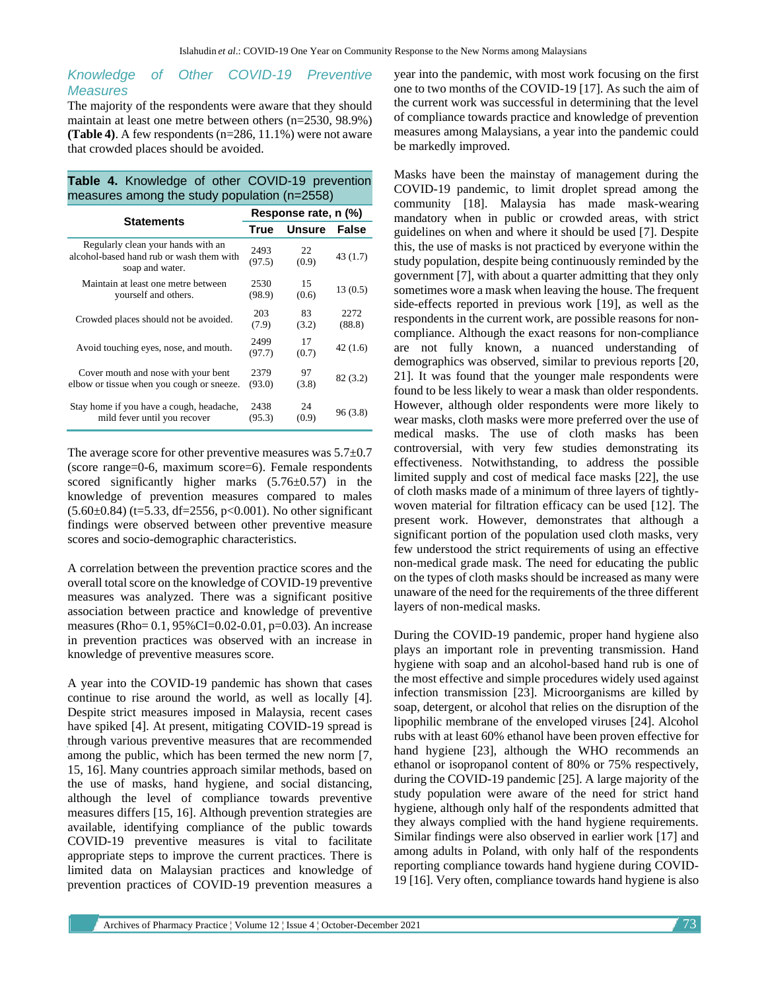#### *Knowledge of Other COVID-19 Preventive Measures*

The majority of the respondents were aware that they should maintain at least one metre between others (n=2530, 98.9%) **(Table 4)**. A few respondents (n=286, 11.1%) were not aware that crowded places should be avoided.

**Table 4.** Knowledge of other COVID-19 prevention measures among the study population (n=2558)

|                                                                                                   | Response rate, n (%) |               |          |
|---------------------------------------------------------------------------------------------------|----------------------|---------------|----------|
| <b>Statements</b>                                                                                 | <b>True</b>          | <b>Unsure</b> | False    |
| Regularly clean your hands with an<br>alcohol-based hand rub or wash them with<br>soap and water. | 2493<br>(97.5)       | 22<br>(0.9)   | 43 (1.7) |
| Maintain at least one metre between                                                               | 2530                 | 15            | 13(0.5)  |
| yourself and others.                                                                              | (98.9)               | (0.6)         |          |
| Crowded places should not be avoided.                                                             | 203                  | 83            | 2272     |
|                                                                                                   | (7.9)                | (3.2)         | (88.8)   |
| Avoid touching eyes, nose, and mouth.                                                             | 2499<br>(97.7)       | 17<br>(0.7)   | 42(1.6)  |
| Cover mouth and nose with your bent                                                               | 2379                 | 97            | 82(3.2)  |
| elbow or tissue when you cough or sneeze.                                                         | (93.0)               | (3.8)         |          |
| Stay home if you have a cough, headache,                                                          | 2438                 | 24            | 96 (3.8) |
| mild fever until you recover                                                                      | (95.3)               | (0.9)         |          |

The average score for other preventive measures was 5.7±0.7 (score range=0-6, maximum score=6). Female respondents scored significantly higher marks  $(5.76\pm0.57)$  in the knowledge of prevention measures compared to males  $(5.60\pm0.84)$  (t=5.33, df=2556, p<0.001). No other significant findings were observed between other preventive measure scores and socio-demographic characteristics.

A correlation between the prevention practice scores and the overall total score on the knowledge of COVID-19 preventive measures was analyzed. There was a significant positive association between practice and knowledge of preventive measures (Rho= 0.1, 95%CI=0.02-0.01, p=0.03). An increase in prevention practices was observed with an increase in knowledge of preventive measures score.

A year into the COVID-19 pandemic has shown that cases continue to rise around the world, as well as locally [4]. Despite strict measures imposed in Malaysia, recent cases have spiked [4]. At present, mitigating COVID-19 spread is through various preventive measures that are recommended among the public, which has been termed the new norm [7, 15, 16]. Many countries approach similar methods, based on the use of masks, hand hygiene, and social distancing, although the level of compliance towards preventive measures differs [15, 16]. Although prevention strategies are available, identifying compliance of the public towards COVID-19 preventive measures is vital to facilitate appropriate steps to improve the current practices. There is limited data on Malaysian practices and knowledge of prevention practices of COVID-19 prevention measures a year into the pandemic, with most work focusing on the first one to two months of the COVID-19 [17]. As such the aim of the current work was successful in determining that the level of compliance towards practice and knowledge of prevention measures among Malaysians, a year into the pandemic could be markedly improved.

Masks have been the mainstay of management during the COVID-19 pandemic, to limit droplet spread among the community [18]. Malaysia has made mask-wearing mandatory when in public or crowded areas, with strict guidelines on when and where it should be used [7]. Despite this, the use of masks is not practiced by everyone within the study population, despite being continuously reminded by the government [7], with about a quarter admitting that they only sometimes wore a mask when leaving the house. The frequent side-effects reported in previous work [19], as well as the respondents in the current work, are possible reasons for noncompliance. Although the exact reasons for non-compliance are not fully known, a nuanced understanding of demographics was observed, similar to previous reports [20, 21]. It was found that the younger male respondents were found to be less likely to wear a mask than older respondents. However, although older respondents were more likely to wear masks, cloth masks were more preferred over the use of medical masks. The use of cloth masks has been controversial, with very few studies demonstrating its effectiveness. Notwithstanding, to address the possible limited supply and cost of medical face masks [22], the use of cloth masks made of a minimum of three layers of tightlywoven material for filtration efficacy can be used [12]. The present work. However, demonstrates that although a significant portion of the population used cloth masks, very few understood the strict requirements of using an effective non-medical grade mask. The need for educating the public on the types of cloth masks should be increased as many were unaware of the need for the requirements of the three different layers of non-medical masks.

During the COVID-19 pandemic, proper hand hygiene also plays an important role in preventing transmission. Hand hygiene with soap and an alcohol-based hand rub is one of the most effective and simple procedures widely used against infection transmission [23]. Microorganisms are killed by soap, detergent, or alcohol that relies on the disruption of the lipophilic membrane of the enveloped viruses [24]. Alcohol rubs with at least 60% ethanol have been proven effective for hand hygiene [23], although the WHO recommends an ethanol or isopropanol content of 80% or 75% respectively, during the COVID-19 pandemic [25]. A large majority of the study population were aware of the need for strict hand hygiene, although only half of the respondents admitted that they always complied with the hand hygiene requirements. Similar findings were also observed in earlier work [17] and among adults in Poland, with only half of the respondents reporting compliance towards hand hygiene during COVID-19 [16]. Very often, compliance towards hand hygiene is also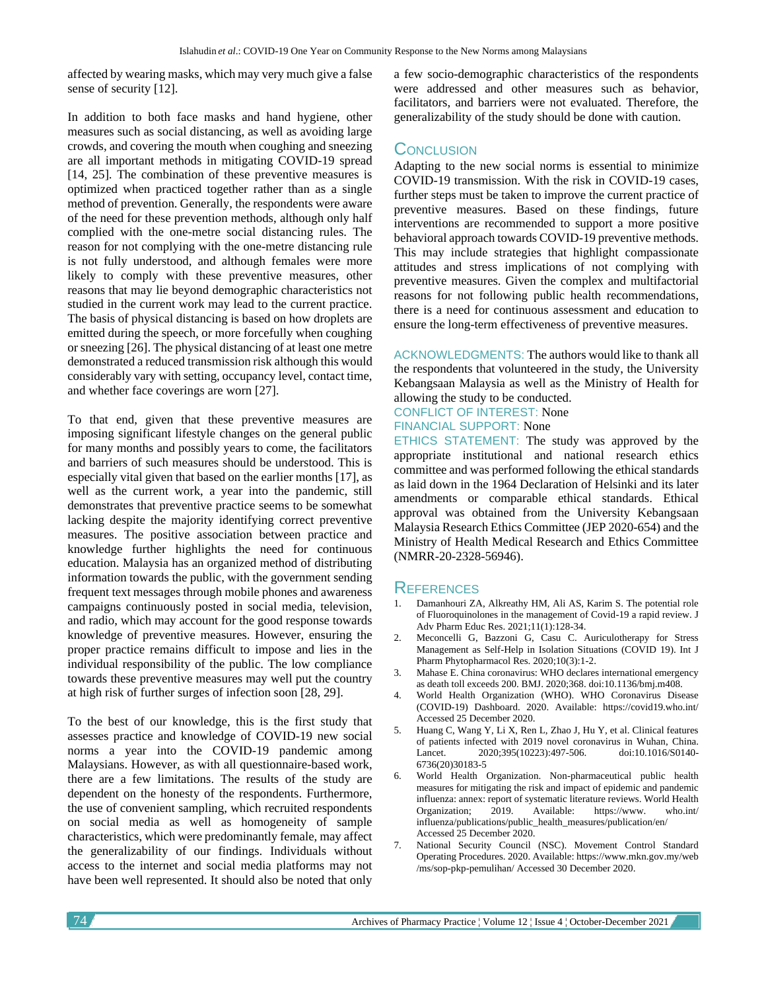affected by wearing masks, which may very much give a false sense of security [12].

In addition to both face masks and hand hygiene, other measures such as social distancing, as well as avoiding large crowds, and covering the mouth when coughing and sneezing are all important methods in mitigating COVID-19 spread [14, 25]. The combination of these preventive measures is optimized when practiced together rather than as a single method of prevention. Generally, the respondents were aware of the need for these prevention methods, although only half complied with the one-metre social distancing rules. The reason for not complying with the one-metre distancing rule is not fully understood, and although females were more likely to comply with these preventive measures, other reasons that may lie beyond demographic characteristics not studied in the current work may lead to the current practice. The basis of physical distancing is based on how droplets are emitted during the speech, or more forcefully when coughing or sneezing [26]. The physical distancing of at least one metre demonstrated a reduced transmission risk although this would considerably vary with setting, occupancy level, contact time, and whether face coverings are worn [27].

To that end, given that these preventive measures are imposing significant lifestyle changes on the general public for many months and possibly years to come, the facilitators and barriers of such measures should be understood. This is especially vital given that based on the earlier months [17], as well as the current work, a year into the pandemic, still demonstrates that preventive practice seems to be somewhat lacking despite the majority identifying correct preventive measures. The positive association between practice and knowledge further highlights the need for continuous education. Malaysia has an organized method of distributing information towards the public, with the government sending frequent text messages through mobile phones and awareness campaigns continuously posted in social media, television, and radio, which may account for the good response towards knowledge of preventive measures. However, ensuring the proper practice remains difficult to impose and lies in the individual responsibility of the public. The low compliance towards these preventive measures may well put the country at high risk of further surges of infection soon [28, 29].

To the best of our knowledge, this is the first study that assesses practice and knowledge of COVID-19 new social norms a year into the COVID-19 pandemic among Malaysians. However, as with all questionnaire-based work, there are a few limitations. The results of the study are dependent on the honesty of the respondents. Furthermore, the use of convenient sampling, which recruited respondents on social media as well as homogeneity of sample characteristics, which were predominantly female, may affect the generalizability of our findings. Individuals without access to the internet and social media platforms may not have been well represented. It should also be noted that only a few socio-demographic characteristics of the respondents were addressed and other measures such as behavior, facilitators, and barriers were not evaluated. Therefore, the generalizability of the study should be done with caution.

## **CONCLUSION**

Adapting to the new social norms is essential to minimize COVID-19 transmission. With the risk in COVID-19 cases, further steps must be taken to improve the current practice of preventive measures. Based on these findings, future interventions are recommended to support a more positive behavioral approach towards COVID-19 preventive methods. This may include strategies that highlight compassionate attitudes and stress implications of not complying with preventive measures. Given the complex and multifactorial reasons for not following public health recommendations, there is a need for continuous assessment and education to ensure the long-term effectiveness of preventive measures.

ACKNOWLEDGMENTS: The authors would like to thank all the respondents that volunteered in the study, the University Kebangsaan Malaysia as well as the Ministry of Health for allowing the study to be conducted.

## CONFLICT OF INTEREST: None FINANCIAL SUPPORT: None

ETHICS STATEMENT: The study was approved by the appropriate institutional and national research ethics committee and was performed following the ethical standards as laid down in the 1964 Declaration of Helsinki and its later amendments or comparable ethical standards. Ethical approval was obtained from the University Kebangsaan Malaysia Research Ethics Committee (JEP 2020-654) and the Ministry of Health Medical Research and Ethics Committee (NMRR-20-2328-56946).

## **REFERENCES**

- 1. Damanhouri ZA, Alkreathy HM, Ali AS, Karim S. The potential role of Fluoroquinolones in the management of Covid-19 a rapid review. J Adv Pharm Educ Res. 2021;11(1):128-34.
- 2. Meconcelli G, Bazzoni G, Casu C. Auriculotherapy for Stress Management as Self-Help in Isolation Situations (COVID 19). Int J Pharm Phytopharmacol Res. 2020;10(3):1-2.
- 3. Mahase E. China coronavirus: WHO declares international emergency as death toll exceeds 200. BMJ. 2020;368. doi:10.1136/bmj.m408.
- 4. World Health Organization (WHO). WHO Coronavirus Disease (COVID-19) Dashboard. 2020. Available: https://covid19.who.int/ Accessed 25 December 2020.
- 5. Huang C, Wang Y, Li X, Ren L, Zhao J, Hu Y, et al. Clinical features of patients infected with 2019 novel coronavirus in Wuhan, China. Lancet. 2020;395(10223):497-506. doi:10.1016/S0140-6736(20)30183-5
- 6. World Health Organization. Non-pharmaceutical public health measures for mitigating the risk and impact of epidemic and pandemic influenza: annex: report of systematic literature reviews. World Health<br>Organization: 2019. Available: https://www. who.int/ Organization; 2019. Available: https://www. who.int/ influenza/publications/public\_health\_measures/publication/en/ Accessed 25 December 2020.
- 7. National Security Council (NSC). Movement Control Standard Operating Procedures. 2020. Available: https://www.mkn.gov.my/web /ms/sop-pkp-pemulihan/ Accessed 30 December 2020.